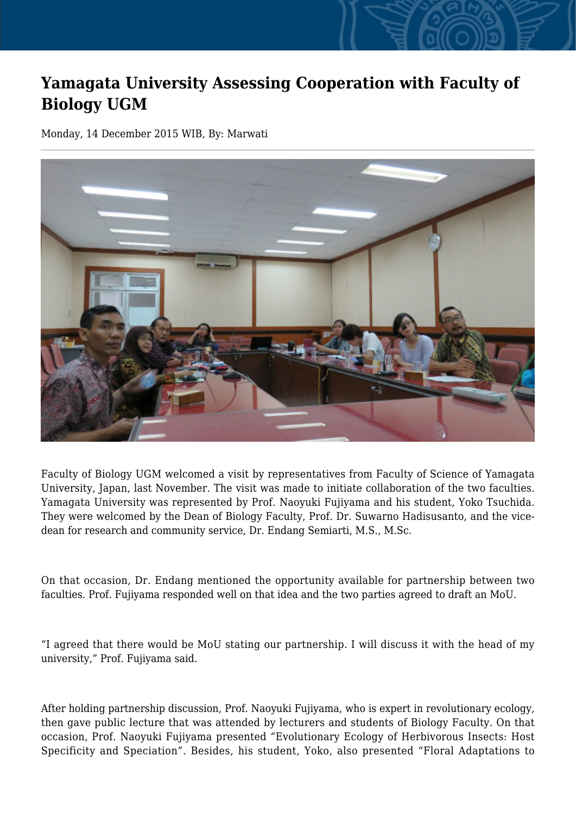## **Yamagata University Assessing Cooperation with Faculty of Biology UGM**

Monday, 14 December 2015 WIB, By: Marwati



Faculty of Biology UGM welcomed a visit by representatives from Faculty of Science of Yamagata University, Japan, last November. The visit was made to initiate collaboration of the two faculties. Yamagata University was represented by Prof. Naoyuki Fujiyama and his student, Yoko Tsuchida. They were welcomed by the Dean of Biology Faculty, Prof. Dr. Suwarno Hadisusanto, and the vicedean for research and community service, Dr. Endang Semiarti, M.S., M.Sc.

On that occasion, Dr. Endang mentioned the opportunity available for partnership between two faculties. Prof. Fujiyama responded well on that idea and the two parties agreed to draft an MoU.

"I agreed that there would be MoU stating our partnership. I will discuss it with the head of my university," Prof. Fujiyama said.

After holding partnership discussion, Prof. Naoyuki Fujiyama, who is expert in revolutionary ecology, then gave public lecture that was attended by lecturers and students of Biology Faculty. On that occasion, Prof. Naoyuki Fujiyama presented "Evolutionary Ecology of Herbivorous Insects: Host Specificity and Speciation". Besides, his student, Yoko, also presented "Floral Adaptations to